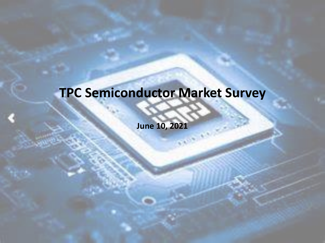### **TPC Semiconductor Market Survey**

**June 10, 2021**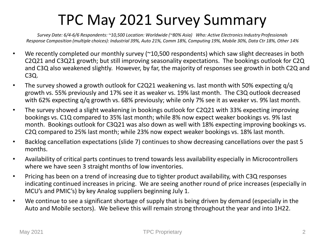### TPC May 2021 Survey Summary

*Survey Date: 6/4-6/6 Respondents: ~10,500 Location: Worldwide (~80% Asia) Who: Active Electronics Industry Professionals Response Composition (multiple choices): Industrial 39%, Auto 21%, Comm 18%, Computing 19%, Mobile 30%, Data Ctr 18%, Other 14%*

- We recently completed our monthly survey (~10,500 respondents) which saw slight decreases in both C2Q21 and C3Q21 growth; but still improving seasonality expectations. The bookings outlook for C2Q and C3Q also weakened slightly. However, by far, the majority of responses see growth in both C2Q and C3Q.
- The survey showed a growth outlook for C2Q21 weakening vs. last month with 50% expecting q/q growth vs. 55% previously and 17% see it as weaker vs. 19% last month. The C3Q outlook decreased with 62% expecting q/q growth vs. 68% previously; while only 7% see it as weaker vs. 9% last month.
- The survey showed a slight weakening in bookings outlook for C2Q21 with 33% expecting improving bookings vs. C1Q compared to 35% last month; while 8% now expect weaker bookings vs. 9% last month. Bookings outlook for C3Q21 was also down as well with 18% expecting improving bookings vs. C2Q compared to 25% last month; while 23% now expect weaker bookings vs. 18% last month.
- Backlog cancellation expectations (slide 7) continues to show decreasing cancellations over the past 5 months.
- Availability of critical parts continues to trend towards less availability especially in Microcontrollers where we have seen 3 straight months of low inventories.
- Pricing has been on a trend of increasing due to tighter product availability, with C3Q responses indicating continued increases in pricing. We are seeing another round of price increases (especially in MCU's and PMIC's) by key Analog suppliers beginning July 1.
- We continue to see a significant shortage of supply that is being driven by demand (especially in the Auto and Mobile sectors). We believe this will remain strong throughout the year and into 1H22.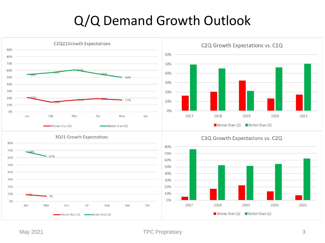#### Q/Q Demand Growth Outlook

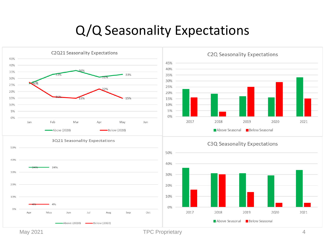#### Q/Q Seasonality Expectations



May 2021 **TPC Proprietary TPC Proprietary** 4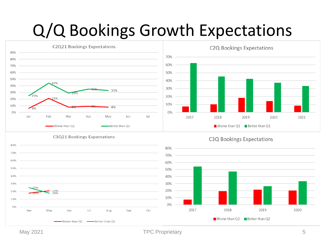## Q/Q Bookings Growth Expectations



May 2021 **TPC Proprietary** 5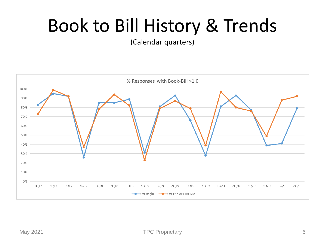## Book to Bill History & Trends

(Calendar quarters)

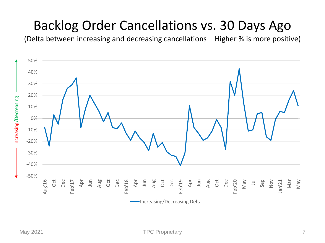#### Backlog Order Cancellations vs. 30 Days Ago

(Delta between increasing and decreasing cancellations – Higher % is more positive)

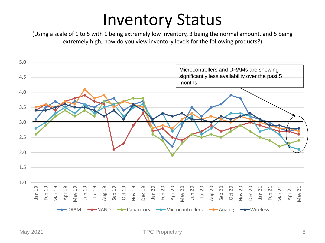### Inventory Status

(Using a scale of 1 to 5 with 1 being extremely low inventory, 3 being the normal amount, and 5 being extremely high; how do you view inventory levels for the following products?)

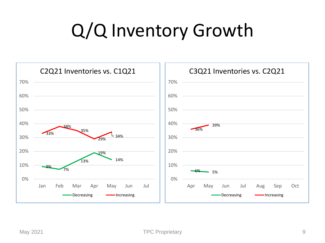## Q/Q Inventory Growth

![](_page_8_Figure_1.jpeg)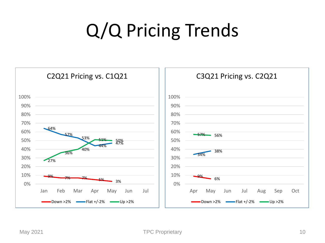# Q/Q Pricing Trends

![](_page_9_Figure_1.jpeg)